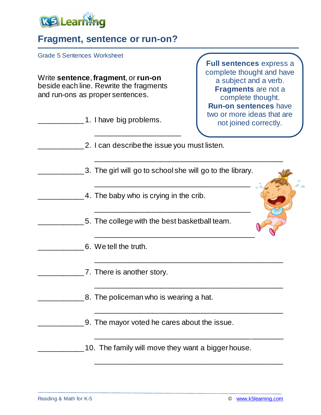

## **Fragment, sentence or run-on?**

Grade 5 Sentences Worksheet

Write **sentence**, **fragment**, or **run-on** beside each line. Rewrite the fragments and run-ons as proper sentences.

| 1. I have big problems.                                   | <b>RUIT-UIT SCHLEIBES HAVE</b><br>two or more ideas that are<br>not joined correctly. |
|-----------------------------------------------------------|---------------------------------------------------------------------------------------|
| 2. I can describe the issue you must listen.              |                                                                                       |
| 3. The girl will go to school she will go to the library. |                                                                                       |
| 4. The baby who is crying in the crib.                    |                                                                                       |
| 5. The college with the best basketball team.             |                                                                                       |
| 6. We tell the truth.                                     |                                                                                       |
| 7. There is another story.                                |                                                                                       |
| 8. The policeman who is wearing a hat.                    |                                                                                       |
| 9. The mayor voted he cares about the issue.              |                                                                                       |
| 10. The family will move they want a bigger house.        |                                                                                       |

\_\_\_\_\_\_\_\_\_\_\_\_\_\_\_\_\_\_\_\_\_\_\_\_\_\_\_\_\_\_\_\_\_\_\_\_\_\_\_\_\_\_\_\_\_\_

**Full sentences** express a complete thought and have a subject and a verb. **Fragments** are not a complete thought. **Run-on sentences** have